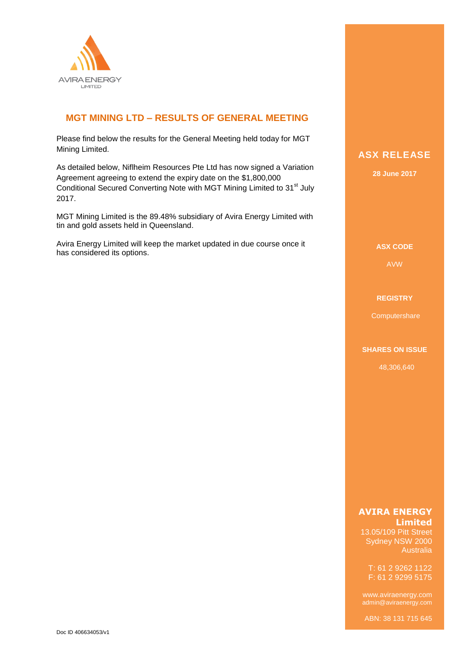

## **MGT MINING LTD – RESULTS OF GENERAL MEETING**

Please find below the results for the General Meeting held today for MGT Mining Limited.

As detailed below, Niflheim Resources Pte Ltd has now signed a Variation Agreement agreeing to extend the expiry date on the \$1,800,000 Conditional Secured Converting Note with MGT Mining Limited to 31<sup>st</sup> July 2017.

MGT Mining Limited is the 89.48% subsidiary of Avira Energy Limited with tin and gold assets held in Queensland.

Avira Energy Limited will keep the market updated in due course once it has considered its options.

# **ASX RELEASE**

**28 June 2017**

**ASX CODE**

AVW

#### **REGISTRY**

**Computershare** 

#### **SHARES ON ISSUE**

48,306,640

#### **AVIRA ENERGY Limited**

13.05/109 Pitt Street Sydney NSW 2000 Australia

T: 61 2 9262 1122 F: 61 2 9299 5175

admin@aviraenergy.com

ABN: 38 131 715 645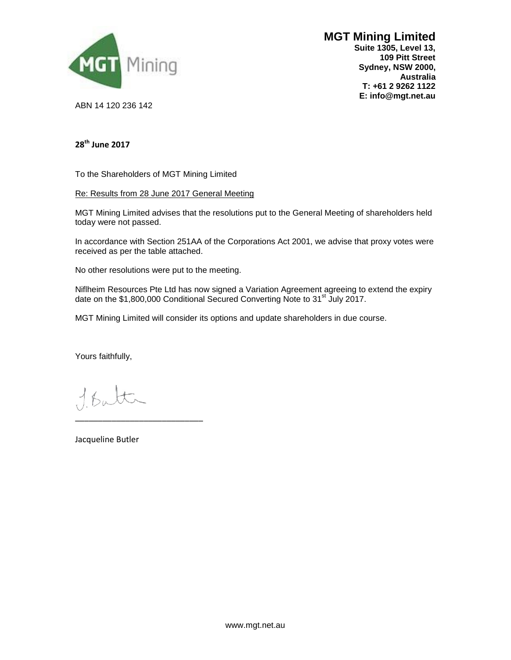

# **MGT Mining Limited**

**Suite 1305, Level 13, 109 Pitt Street Sydney, NSW 2000, Australia T: +61 2 9262 1122 E: info@mgt.net.au**

ABN 14 120 236 142

### **28th June 2017**

To the Shareholders of MGT Mining Limited

Re: Results from 28 June 2017 General Meeting

MGT Mining Limited advises that the resolutions put to the General Meeting of shareholders held today were not passed.

In accordance with Section 251AA of the Corporations Act 2001, we advise that proxy votes were received as per the table attached.

No other resolutions were put to the meeting.

Niflheim Resources Pte Ltd has now signed a Variation Agreement agreeing to extend the expiry date on the \$1,800,000 Conditional Secured Converting Note to 31<sup>st</sup> July 2017.

MGT Mining Limited will consider its options and update shareholders in due course.

Yours faithfully,

\_\_\_\_\_\_\_\_\_\_\_\_\_\_\_\_\_\_\_\_\_\_\_\_\_\_\_\_

Jacqueline Butler